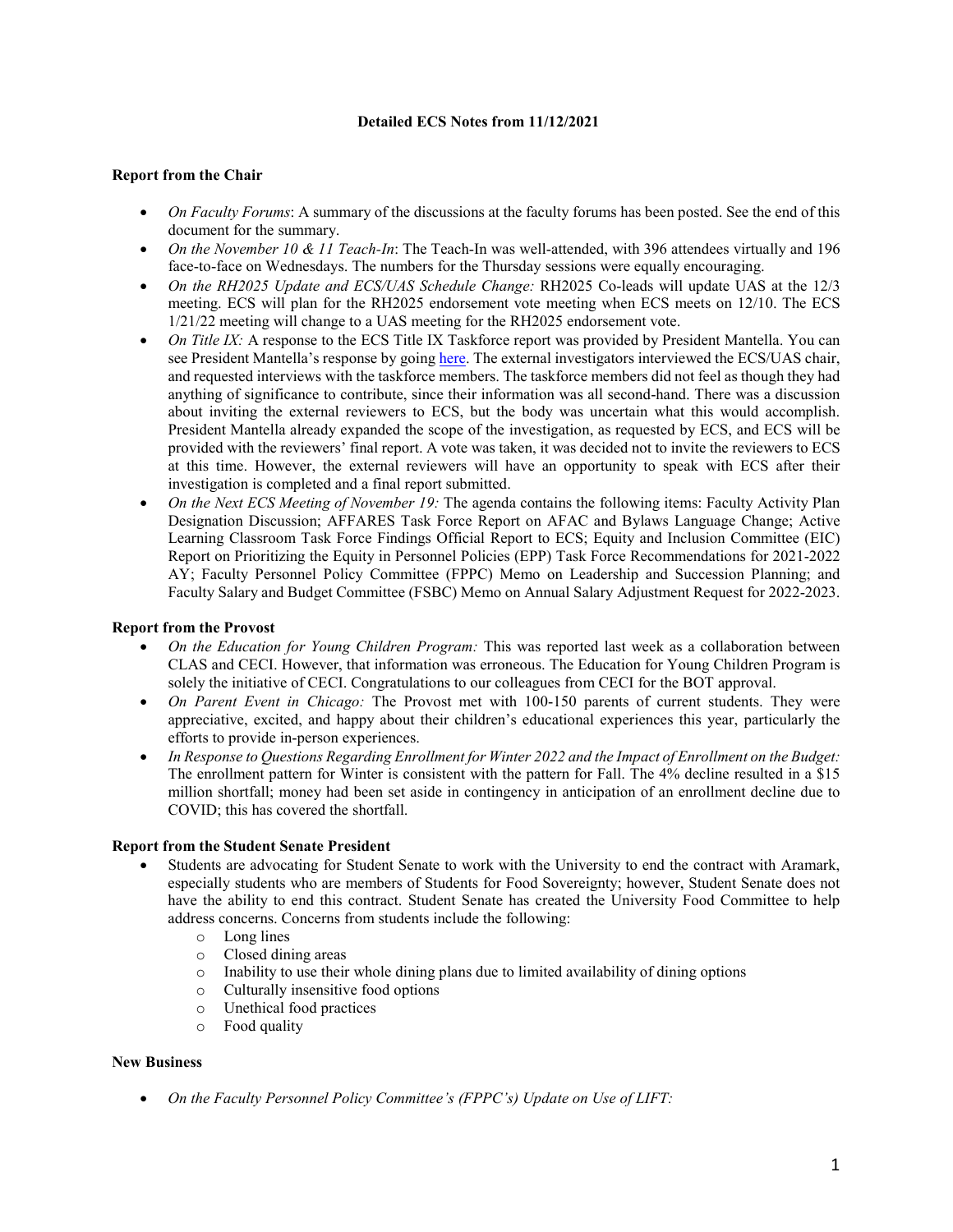## **Detailed ECS Notes from 11/12/2021**

### **Report from the Chair**

- *On Faculty Forums*: A summary of the discussions at the faculty forums has been posted. See the end of this document for the summary.
- *On the November 10 & 11 Teach-In*: The Teach-In was well-attended, with 396 attendees virtually and 196 face-to-face on Wednesdays. The numbers for the Thursday sessions were equally encouraging.
- *On the RH2025 Update and ECS/UAS Schedule Change:* RH2025 Co-leads will update UAS at the 12/3 meeting. ECS will plan for the RH2025 endorsement vote meeting when ECS meets on 12/10. The ECS 1/21/22 meeting will change to a UAS meeting for the RH2025 endorsement vote.
- *On Title IX:* A response to the ECS Title IX Taskforce report was provided by President Mantella. You can see President Mantella's response by goin[g here.](https://www.gvsu.edu/facultygov/uas-recommendations-provost-responses-201.htm) The external investigators interviewed the ECS/UAS chair, and requested interviews with the taskforce members. The taskforce members did not feel as though they had anything of significance to contribute, since their information was all second-hand. There was a discussion about inviting the external reviewers to ECS, but the body was uncertain what this would accomplish. President Mantella already expanded the scope of the investigation, as requested by ECS, and ECS will be provided with the reviewers' final report. A vote was taken, it was decided not to invite the reviewers to ECS at this time. However, the external reviewers will have an opportunity to speak with ECS after their investigation is completed and a final report submitted.
- *On the Next ECS Meeting of November 19:* The agenda contains the following items: Faculty Activity Plan Designation Discussion; AFFARES Task Force Report on AFAC and Bylaws Language Change; Active Learning Classroom Task Force Findings Official Report to ECS; Equity and Inclusion Committee (EIC) Report on Prioritizing the Equity in Personnel Policies (EPP) Task Force Recommendations for 2021-2022 AY; Faculty Personnel Policy Committee (FPPC) Memo on Leadership and Succession Planning; and Faculty Salary and Budget Committee (FSBC) Memo on Annual Salary Adjustment Request for 2022-2023.

#### **Report from the Provost**

- *On the Education for Young Children Program:* This was reported last week as a collaboration between CLAS and CECI. However, that information was erroneous. The Education for Young Children Program is solely the initiative of CECI. Congratulations to our colleagues from CECI for the BOT approval.
- *On Parent Event in Chicago:* The Provost met with 100-150 parents of current students. They were appreciative, excited, and happy about their children's educational experiences this year, particularly the efforts to provide in-person experiences.
- *In Response to Questions Regarding Enrollment for Winter 2022 and the Impact of Enrollment on the Budget:* The enrollment pattern for Winter is consistent with the pattern for Fall. The 4% decline resulted in a \$15 million shortfall; money had been set aside in contingency in anticipation of an enrollment decline due to COVID; this has covered the shortfall.

### **Report from the Student Senate President**

- Students are advocating for Student Senate to work with the University to end the contract with Aramark, especially students who are members of Students for Food Sovereignty; however, Student Senate does not have the ability to end this contract. Student Senate has created the University Food Committee to help address concerns. Concerns from students include the following:
	- o Long lines
	- o Closed dining areas
	- $\circ$  Inability to use their whole dining plans due to limited availability of dining options  $\circ$  Culturally insensitive food options
	- o Culturally insensitive food options<br>
	o Unethical food practices
	- Unethical food practices
	- o Food quality

#### **New Business**

• *On the Faculty Personnel Policy Committee's (FPPC's) Update on Use of LIFT:*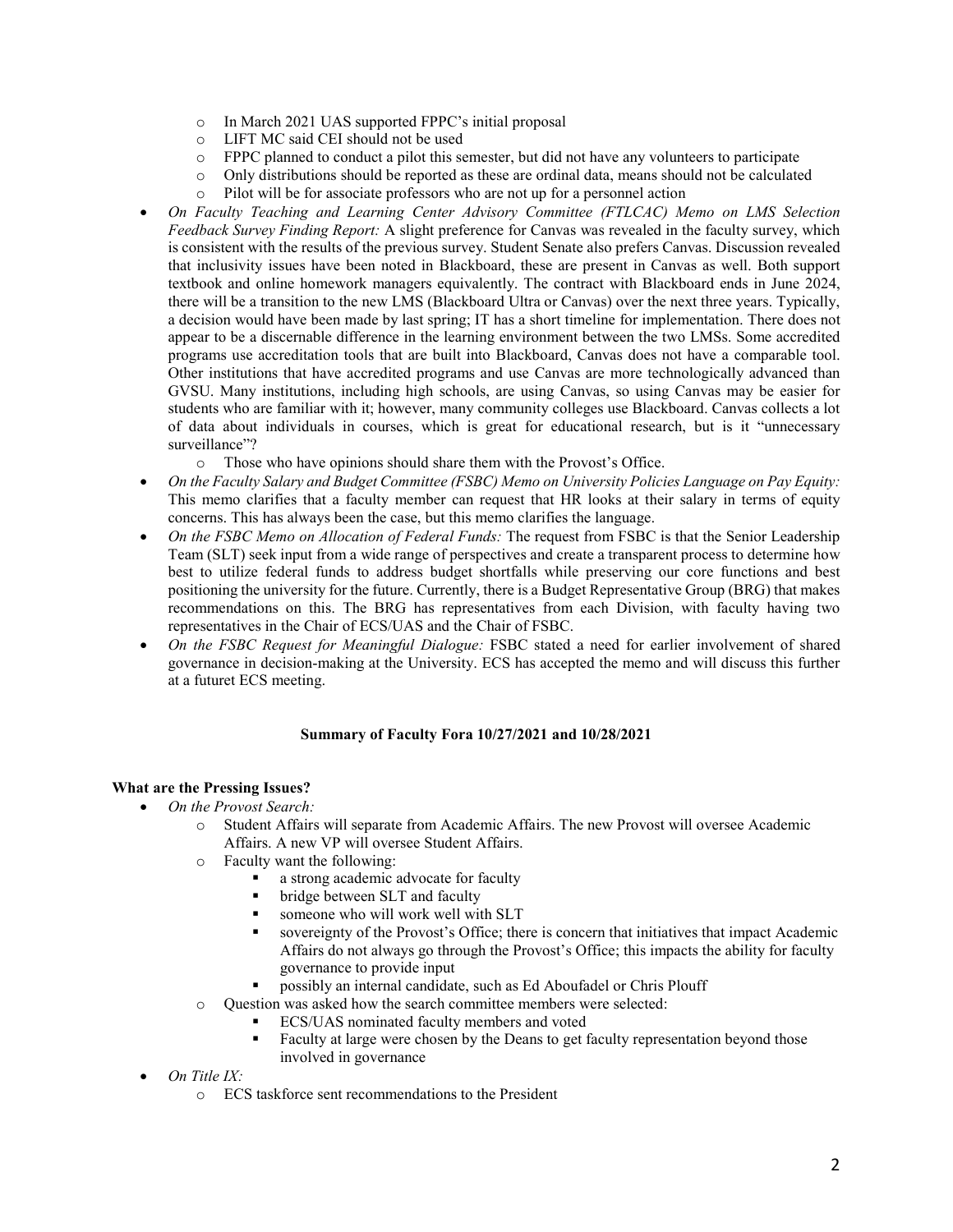- $\circ$  In March 2021 UAS supported FPPC's initial proposal<br> $\circ$  LIFT MC said CEI should not be used
- LIFT MC said CEI should not be used<br>○ FPPC planned to conduct a pilot this se
- FPPC planned to conduct a pilot this semester, but did not have any volunteers to participate
- o Only distributions should be reported as these are ordinal data, means should not be calculated
- o Pilot will be for associate professors who are not up for a personnel action
- *On Faculty Teaching and Learning Center Advisory Committee (FTLCAC) Memo on LMS Selection Feedback Survey Finding Report:* A slight preference for Canvas was revealed in the faculty survey, which is consistent with the results of the previous survey. Student Senate also prefers Canvas. Discussion revealed that inclusivity issues have been noted in Blackboard, these are present in Canvas as well. Both support textbook and online homework managers equivalently. The contract with Blackboard ends in June 2024, there will be a transition to the new LMS (Blackboard Ultra or Canvas) over the next three years. Typically, a decision would have been made by last spring; IT has a short timeline for implementation. There does not appear to be a discernable difference in the learning environment between the two LMSs. Some accredited programs use accreditation tools that are built into Blackboard, Canvas does not have a comparable tool. Other institutions that have accredited programs and use Canvas are more technologically advanced than GVSU. Many institutions, including high schools, are using Canvas, so using Canvas may be easier for students who are familiar with it; however, many community colleges use Blackboard. Canvas collects a lot of data about individuals in courses, which is great for educational research, but is it "unnecessary surveillance"?
	- o Those who have opinions should share them with the Provost's Office.
- *On the Faculty Salary and Budget Committee (FSBC) Memo on University Policies Language on Pay Equity:*  This memo clarifies that a faculty member can request that HR looks at their salary in terms of equity concerns. This has always been the case, but this memo clarifies the language.
- *On the FSBC Memo on Allocation of Federal Funds:* The request from FSBC is that the Senior Leadership Team (SLT) seek input from a wide range of perspectives and create a transparent process to determine how best to utilize federal funds to address budget shortfalls while preserving our core functions and best positioning the university for the future. Currently, there is a Budget Representative Group (BRG) that makes recommendations on this. The BRG has representatives from each Division, with faculty having two representatives in the Chair of ECS/UAS and the Chair of FSBC.
- *On the FSBC Request for Meaningful Dialogue:* FSBC stated a need for earlier involvement of shared governance in decision-making at the University. ECS has accepted the memo and will discuss this further at a futuret ECS meeting.

#### **Summary of Faculty Fora 10/27/2021 and 10/28/2021**

## **What are the Pressing Issues?**

- *On the Provost Search:*
	- o Student Affairs will separate from Academic Affairs. The new Provost will oversee Academic Affairs. A new VP will oversee Student Affairs.
	- o Faculty want the following:
		- a strong academic advocate for faculty
		- bridge between SLT and faculty
		- someone who will work well with SLT
		- sovereignty of the Provost's Office; there is concern that initiatives that impact Academic Affairs do not always go through the Provost's Office; this impacts the ability for faculty governance to provide input
		- possibly an internal candidate, such as Ed Aboufadel or Chris Plouff
	- o Question was asked how the search committee members were selected:
		- ECS/UAS nominated faculty members and voted
			- Faculty at large were chosen by the Deans to get faculty representation beyond those involved in governance
- *On Title IX:*
	- o ECS taskforce sent recommendations to the President